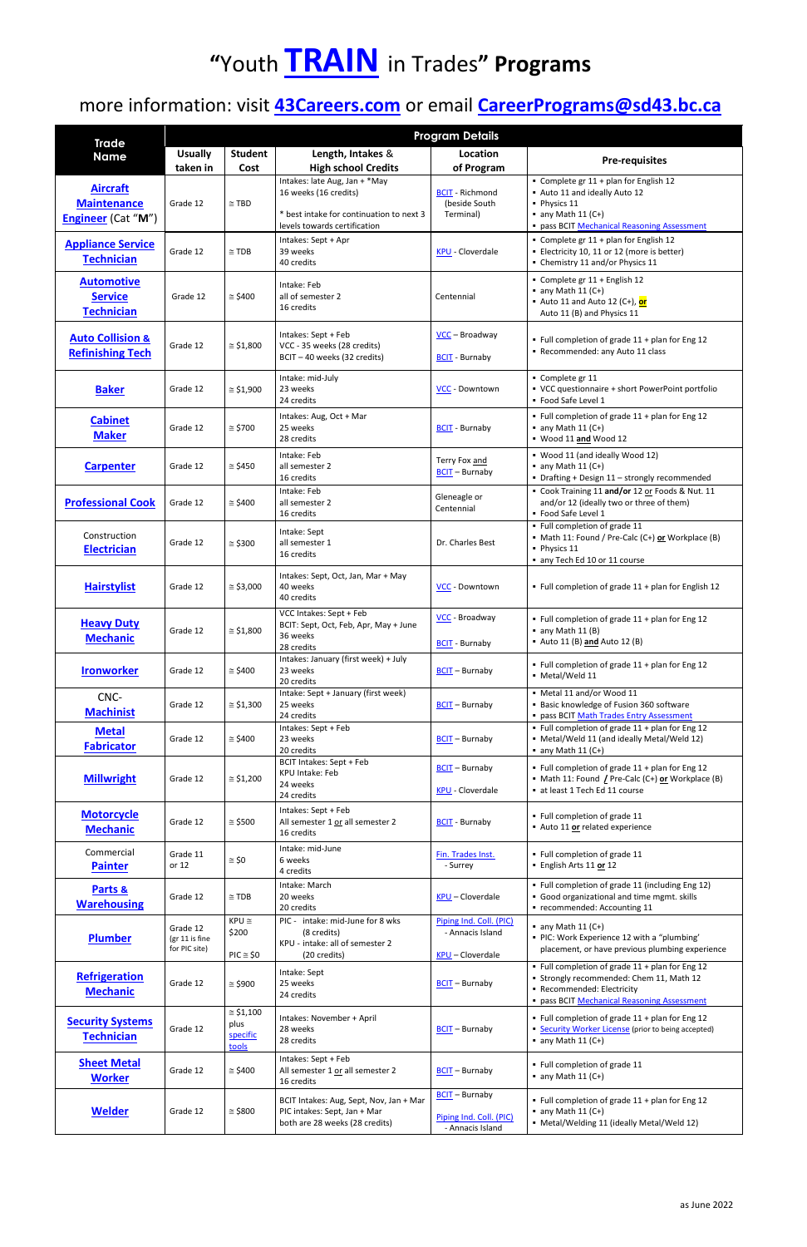## **"**Youth **[TRAIN](https://www.sd43.bc.ca/CareerPrograms/Pages/Trades.aspx#/=)** in Trades**" Programs**

### more information: visit **[43Careers.com](https://www.sd43.bc.ca/CareerPrograms/Pages/default.aspx#/=)** or email **[CareerPrograms@sd43.bc.ca](mailto:CareerPrograms@sd43.bc.ca)**

|                                                                    | <b>Program Details</b>                      |                                                |                                                                                                                                    |                                                                        |                                                                                                                                                                        |  |  |
|--------------------------------------------------------------------|---------------------------------------------|------------------------------------------------|------------------------------------------------------------------------------------------------------------------------------------|------------------------------------------------------------------------|------------------------------------------------------------------------------------------------------------------------------------------------------------------------|--|--|
| <b>Trade</b><br><b>Name</b>                                        | <b>Usually</b><br>taken in                  | <b>Student</b><br>Cost                         | Length, Intakes &<br><b>High school Credits</b>                                                                                    | Location<br>of Program                                                 | <b>Pre-requisites</b>                                                                                                                                                  |  |  |
| <b>Aircraft</b><br><b>Maintenance</b><br><b>Engineer</b> (Cat "M") | Grade 12                                    | $\cong$ TBD                                    | Intakes: late Aug, Jan + *May<br>16 weeks (16 credits)<br>* best intake for continuation to next 3<br>levels towards certification | <b>BCIT</b> - Richmond<br>(beside South<br>Terminal)                   | Complete gr 11 + plan for English 12<br>Auto 11 and ideally Auto 12<br>• Physics 11<br>$\blacksquare$ any Math 11 (C+)<br>· pass BCIT Mechanical Reasoning Assessment  |  |  |
| <b>Appliance Service</b><br><b>Technician</b>                      | Grade 12                                    | $\cong$ TDB                                    | Intakes: Sept + Apr<br>39 weeks<br>40 credits                                                                                      | <b>KPU</b> - Cloverdale                                                | • Complete gr 11 + plan for English 12<br>Electricity 10, 11 or 12 (more is better)<br>• Chemistry 11 and/or Physics 11                                                |  |  |
| <b>Automotive</b><br><b>Service</b><br><b>Technician</b>           | Grade 12                                    | $\approx$ \$400                                | Intake: Feb<br>all of semester 2<br>16 credits                                                                                     | Centennial                                                             | Complete gr 11 + English 12<br>$\blacksquare$ any Math 11 (C+)<br>- Auto 11 and Auto 12 (C+), or<br>Auto 11 (B) and Physics 11                                         |  |  |
| <b>Auto Collision &amp;</b><br><b>Refinishing Tech</b>             | Grade 12                                    | $\approx$ \$1,800                              | Intakes: Sept + Feb<br>VCC - 35 weeks (28 credits)<br>BCIT - 40 weeks (32 credits)                                                 | $VCC – Broadway$<br><b>BCIT</b> - Burnaby                              | • Full completion of grade 11 + plan for Eng 12<br>Recommended: any Auto 11 class                                                                                      |  |  |
| <b>Baker</b>                                                       | Grade 12                                    | $\approx$ \$1,900                              | Intake: mid-July<br>23 weeks<br>24 credits                                                                                         | VCC - Downtown                                                         | Complete gr 11<br>• VCC questionnaire + short PowerPoint portfolio<br>• Food Safe Level 1                                                                              |  |  |
| <b>Cabinet</b><br><b>Maker</b>                                     | Grade 12                                    | $\approx$ \$700                                | Intakes: Aug, Oct + Mar<br>25 weeks<br>28 credits                                                                                  | <b>BCIT</b> - Burnaby                                                  | • Full completion of grade 11 + plan for Eng 12<br>$\blacksquare$ any Math 11 (C+)<br>Wood 11 and Wood 12                                                              |  |  |
| <b>Carpenter</b>                                                   | Grade 12                                    | $\approx$ \$450                                | Intake: Feb<br>all semester 2<br>16 credits                                                                                        | Terry Fox and<br>$BCIT - Burnaby$                                      | • Wood 11 (and ideally Wood 12)<br>$\blacksquare$ any Math 11 (C+)<br>• Drafting + Design 11 - strongly recommended                                                    |  |  |
| <b>Professional Cook</b>                                           | Grade 12                                    | $\approx$ \$400                                | Intake: Feb<br>all semester 2<br>16 credits                                                                                        | Gleneagle or<br>Centennial                                             | Cook Training 11 and/or 12 or Foods & Nut. 11<br>and/or 12 (ideally two or three of them)<br>• Food Safe Level 1                                                       |  |  |
| Construction<br><b>Electrician</b>                                 | Grade 12                                    | $\approx$ \$300                                | Intake: Sept<br>all semester 1<br>16 credits                                                                                       | Dr. Charles Best                                                       | • Full completion of grade 11<br>• Math 11: Found / Pre-Calc (C+) or Workplace (B)<br>• Physics 11<br>any Tech Ed 10 or 11 course                                      |  |  |
| <b>Hairstylist</b>                                                 | Grade 12                                    | $\approx$ \$3,000                              | Intakes: Sept, Oct, Jan, Mar + May<br>40 weeks<br>40 credits                                                                       | VCC - Downtown                                                         | • Full completion of grade 11 + plan for English 12                                                                                                                    |  |  |
| <b>Heavy Duty</b><br><b>Mechanic</b>                               | Grade 12                                    | $\approx$ \$1,800                              | VCC Intakes: Sept + Feb<br>BCIT: Sept, Oct, Feb, Apr, May + June<br>36 weeks<br>28 credits                                         | VCC - Broadway<br><b>BCIT</b> - Burnaby                                | • Full completion of grade 11 + plan for Eng 12<br>$\blacksquare$ any Math 11 (B)<br>- Auto 11 (B) and Auto 12 (B)                                                     |  |  |
| <b>Ironworker</b>                                                  | Grade 12                                    | $\approx$ \$400                                | Intakes: January (first week) + July<br>23 weeks<br>20 credits                                                                     | $BCIT - Burnaby$                                                       | • Full completion of grade 11 + plan for Eng 12<br>• Metal/Weld 11                                                                                                     |  |  |
| CNC-<br><b>Machinist</b>                                           | Grade 12                                    | $\approx$ \$1,300                              | Intake: Sept + January (first week)<br>25 weeks<br>24 credits                                                                      | $BCIT - Burnaby$                                                       | • Metal 11 and/or Wood 11<br>Basic knowledge of Fusion 360 software<br>- pass BCIT Math Trades Entry Assessment                                                        |  |  |
| <b>Metal</b><br><b>Fabricator</b>                                  | Grade 12                                    | $\approx$ \$400                                | Intakes: Sept + Feb<br>23 weeks<br>20 credits                                                                                      | <b>BCIT</b> - Burnaby                                                  | • Full completion of grade 11 + plan for Eng 12<br>• Metal/Weld 11 (and ideally Metal/Weld 12)<br>$\blacksquare$ any Math 11 (C+)                                      |  |  |
| <b>Millwright</b>                                                  | Grade 12                                    | $\approx$ \$1,200                              | BCIT Intakes: Sept + Feb<br><b>KPU Intake: Feb</b><br>24 weeks<br>24 credits                                                       | <b>BCIT</b> - Burnaby<br><b>KPU - Cloverdale</b>                       | • Full completion of grade 11 + plan for Eng 12<br>• Math 11: Found <i>L</i> Pre-Calc (C+) or Workplace (B)<br>at least 1 Tech Ed 11 course                            |  |  |
| <b>Motorcycle</b><br><b>Mechanic</b>                               | Grade 12                                    | $\approx$ \$500                                | Intakes: Sept + Feb<br>All semester 1 or all semester 2<br>16 credits                                                              | <b>BCIT</b> - Burnaby                                                  | • Full completion of grade 11<br>- Auto 11 or related experience                                                                                                       |  |  |
| Commercial<br><b>Painter</b>                                       | Grade 11<br>or 12                           | $\approx$ \$0                                  | Intake: mid-June<br>6 weeks<br>4 credits                                                                                           | Fin. Trades Inst.<br>- Surrey                                          | · Full completion of grade 11<br>- English Arts 11 or 12                                                                                                               |  |  |
| Parts &<br><b>Warehousing</b>                                      | Grade 12                                    | $\cong$ TDB                                    | Intake: March<br>20 weeks<br>20 credits                                                                                            | <b>KPU</b> - Cloverdale                                                | • Full completion of grade 11 (including Eng 12)<br>Good organizational and time mgmt. skills<br>" recommended: Accounting 11                                          |  |  |
| <b>Plumber</b>                                                     | Grade 12<br>(gr 11 is fine<br>for PIC site) | $KPU \cong$<br>\$200<br>$PIC \cong $0$         | PIC - intake: mid-June for 8 wks<br>(8 credits)<br>KPU - intake: all of semester 2<br>(20 credits)                                 | Piping Ind. Coll. (PIC)<br>- Annacis Island<br><b>KPU</b> - Cloverdale | $\blacksquare$ any Math 11 (C+)<br>• PIC: Work Experience 12 with a "plumbing'<br>placement, or have previous plumbing experience                                      |  |  |
| <b>Refrigeration</b><br><b>Mechanic</b>                            | Grade 12                                    | $\approx$ \$900                                | Intake: Sept<br>25 weeks<br>24 credits                                                                                             | $BCIT - Burnaby$                                                       | • Full completion of grade 11 + plan for Eng 12<br>• Strongly recommended: Chem 11, Math 12<br>Recommended: Electricity<br>· pass BCIT Mechanical Reasoning Assessment |  |  |
| <b>Security Systems</b><br><b>Technician</b>                       | Grade 12                                    | $\approx$ \$1,100<br>plus<br>specific<br>tools | Intakes: November + April<br>28 weeks<br>28 credits                                                                                | $BCIT - Burnaby$                                                       | • Full completion of grade 11 + plan for Eng 12<br>• Security Worker License (prior to being accepted)<br>$\blacksquare$ any Math 11 (C+)                              |  |  |
| <b>Sheet Metal</b><br><b>Worker</b>                                | Grade 12                                    | $\approx$ \$400                                | Intakes: Sept + Feb<br>All semester 1 or all semester 2<br>16 credits                                                              | $BCIT - Burnaby$                                                       | • Full completion of grade 11<br>$\blacksquare$ any Math 11 (C+)                                                                                                       |  |  |
| <b>Welder</b>                                                      | Grade 12                                    | $\approx$ \$800                                | BCIT Intakes: Aug, Sept, Nov, Jan + Mar<br>PIC intakes: Sept, Jan + Mar<br>both are 28 weeks (28 credits)                          | <b>BCIT</b> - Burnaby<br>Piping Ind. Coll. (PIC)<br>- Annacis Island   | • Full completion of grade 11 + plan for Eng 12<br>$\blacksquare$ any Math 11 (C+)<br>• Metal/Welding 11 (ideally Metal/Weld 12)                                       |  |  |